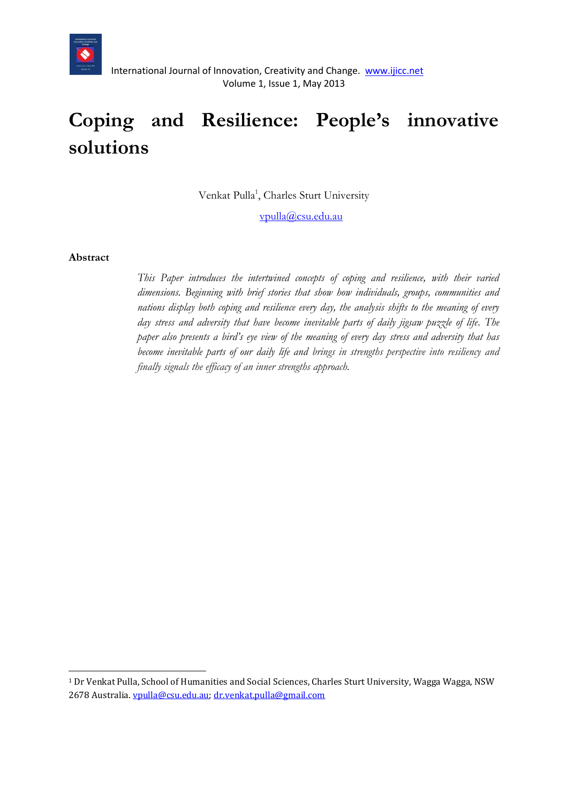

# **Coping and Resilience: People's innovative solutions**

Venkat Pulla<sup>1</sup>, Charles Sturt University

[vpulla@csu.edu.au](mailto:vpulla@csu.edu.au)

#### **Abstract**

**.** 

*This Paper introduces the intertwined concepts of coping and resilience, with their varied dimensions. Beginning with brief stories that show how individuals, groups, communities and nations display both coping and resilience every day, the analysis shifts to the meaning of every day stress and adversity that have become inevitable parts of daily jigsaw puzzle of life. The paper also presents a bird's eye view of the meaning of every day stress and adversity that has become inevitable parts of our daily life and brings in strengths perspective into resiliency and finally signals the efficacy of an inner strengths approach.*

<sup>1</sup> Dr Venkat Pulla, School of Humanities and Social Sciences, Charles Sturt University, Wagga Wagga, NSW 2678 Australia[. vpulla@csu.edu.au;](mailto:vpulla@csu.edu.au) [dr.venkat.pulla@gmail.com](mailto:dr.venkat.pulla@gmail.com)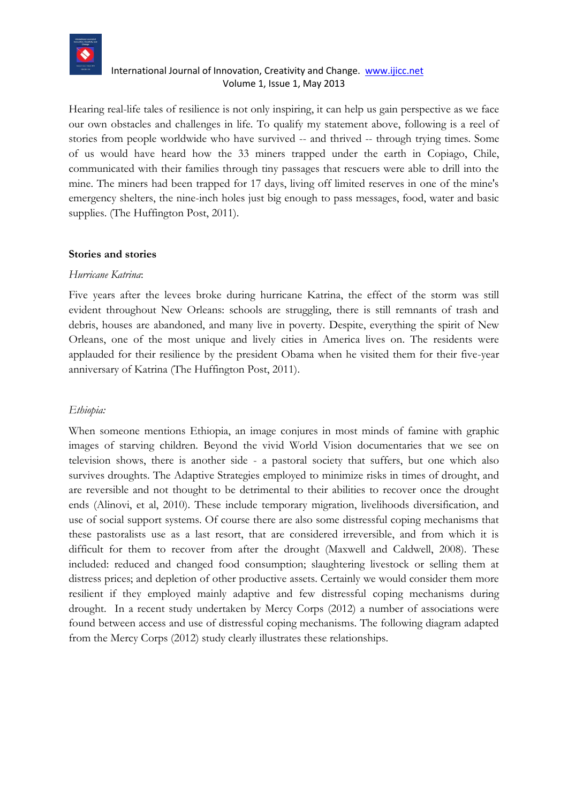

Hearing real-life tales of resilience is not only inspiring, it can help us gain perspective as we face our own obstacles and challenges in life. To qualify my statement above, following is a reel of stories from people worldwide who have survived -- and thrived -- through trying times. Some of us would have heard how the 33 miners trapped under the earth in Copiago, Chile, communicated with their families through tiny passages that rescuers were able to drill into the mine. The miners had been trapped for 17 days, living off limited reserves in one of the mine's emergency shelters, the nine-inch holes just big enough to pass messages, food, water and basic supplies. (The Huffington Post, 2011).

#### **Stories and stories**

#### *Hurricane Katrina*:

Five years after the levees broke during hurricane Katrina, the effect of the storm was still evident throughout New Orleans: schools are struggling, there is still remnants of trash and debris, houses are abandoned, and many live in poverty. Despite, everything the spirit of New Orleans, one of the most unique and lively cities in America lives on. The residents were applauded for their resilience by the president Obama when he visited them for their five-year anniversary of Katrina (The Huffington Post, 2011).

#### *Ethiopia:*

When someone mentions Ethiopia, an image conjures in most minds of famine with graphic images of starving children. Beyond the vivid World Vision documentaries that we see on television shows, there is another side - a pastoral society that suffers, but one which also survives droughts. The Adaptive Strategies employed to minimize risks in times of drought, and are reversible and not thought to be detrimental to their abilities to recover once the drought ends (Alinovi, et al, 2010). These include temporary migration, livelihoods diversification, and use of social support systems. Of course there are also some distressful coping mechanisms that these pastoralists use as a last resort, that are considered irreversible, and from which it is difficult for them to recover from after the drought (Maxwell and Caldwell, 2008). These included: reduced and changed food consumption; slaughtering livestock or selling them at distress prices; and depletion of other productive assets. Certainly we would consider them more resilient if they employed mainly adaptive and few distressful coping mechanisms during drought. In a recent study undertaken by Mercy Corps (2012) a number of associations were found between access and use of distressful coping mechanisms. The following diagram adapted from the Mercy Corps (2012) study clearly illustrates these relationships.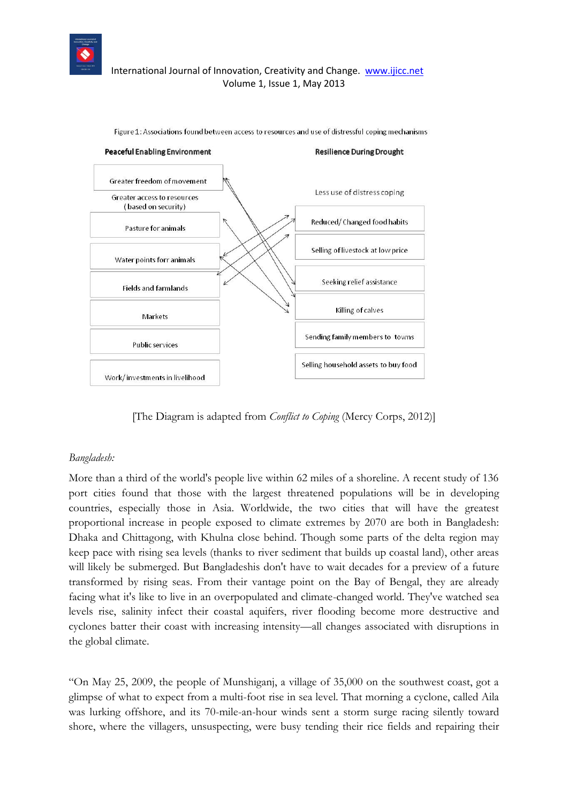



Figure 1: Associations found between access to resources and use of distressful coping mechanisms

[The Diagram is adapted from *Conflict to Coping* (Mercy Corps, 2012)]

#### *Bangladesh:*

More than a third of the world's people live within 62 miles of a shoreline. A recent study of 136 port cities found that those with the largest threatened populations will be in developing countries, especially those in Asia. Worldwide, the two cities that will have the greatest proportional increase in people exposed to climate extremes by 2070 are both in Bangladesh: Dhaka and Chittagong, with Khulna close behind. Though some parts of the delta region may keep pace with rising sea levels (thanks to river sediment that builds up coastal land), other areas will likely be submerged. But Bangladeshis don't have to wait decades for a preview of a future transformed by rising seas. From their vantage point on the Bay of Bengal, they are already facing what it's like to live in an overpopulated and climate-changed world. They've watched sea levels rise, salinity infect their coastal aquifers, river flooding become more destructive and cyclones batter their coast with increasing intensity—all changes associated with disruptions in the global climate.

"On May 25, 2009, the people of Munshiganj, a village of 35,000 on the southwest coast, got a glimpse of what to expect from a multi-foot rise in sea level. That morning a cyclone, called Aila was lurking offshore, and its 70-mile-an-hour winds sent a storm surge racing silently toward shore, where the villagers, unsuspecting, were busy tending their rice fields and repairing their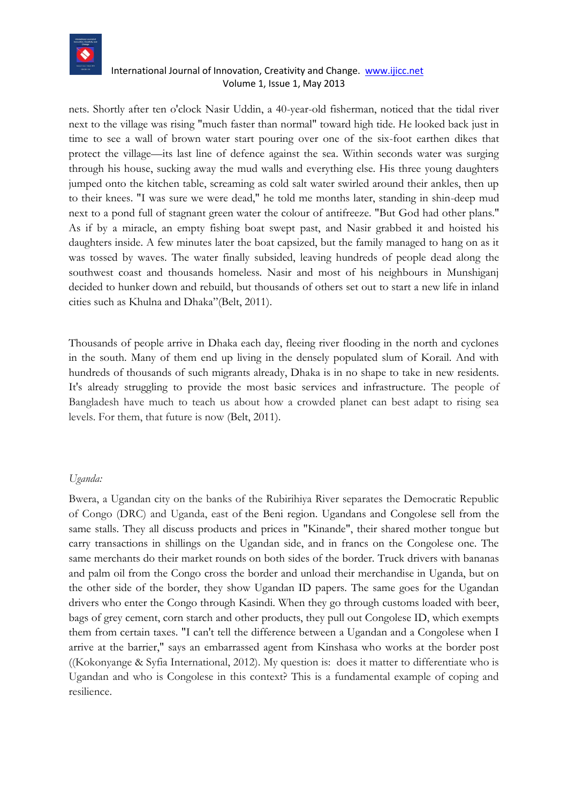

nets. Shortly after ten o'clock Nasir Uddin, a 40-year-old fisherman, noticed that the tidal river next to the village was rising "much faster than normal" toward high tide. He looked back just in time to see a wall of brown water start pouring over one of the six-foot earthen dikes that protect the village—its last line of defence against the sea. Within seconds water was surging through his house, sucking away the mud walls and everything else. His three young daughters jumped onto the kitchen table, screaming as cold salt water swirled around their ankles, then up to their knees. "I was sure we were dead," he told me months later, standing in shin-deep mud next to a pond full of stagnant green water the colour of antifreeze. "But God had other plans." As if by a miracle, an empty fishing boat swept past, and Nasir grabbed it and hoisted his daughters inside. A few minutes later the boat capsized, but the family managed to hang on as it was tossed by waves. The water finally subsided, leaving hundreds of people dead along the southwest coast and thousands homeless. Nasir and most of his neighbours in Munshiganj decided to hunker down and rebuild, but thousands of others set out to start a new life in inland cities such as Khulna and Dhaka"(Belt, 2011).

Thousands of people arrive in Dhaka each day, fleeing river flooding in the north and cyclones in the south. Many of them end up living in the densely populated slum of Korail. And with hundreds of thousands of such migrants already, Dhaka is in no shape to take in new residents. It's already struggling to provide the most basic services and infrastructure. The people of Bangladesh have much to teach us about how a crowded planet can best adapt to rising sea levels. For them, that future is now (Belt, 2011).

#### *Uganda:*

Bwera, a Ugandan city on the banks of the Rubirihiya River separates the Democratic Republic of Congo (DRC) and Uganda, east of the Beni region. Ugandans and Congolese sell from the same stalls. They all discuss products and prices in "Kinande", their shared mother tongue but carry transactions in shillings on the Ugandan side, and in francs on the Congolese one. The same merchants do their market rounds on both sides of the border. Truck drivers with bananas and palm oil from the Congo cross the border and unload their merchandise in Uganda, but on the other side of the border, they show Ugandan ID papers. The same goes for the Ugandan drivers who enter the Congo through Kasindi. When they go through customs loaded with beer, bags of grey cement, corn starch and other products, they pull out Congolese ID, which exempts them from certain taxes. "I can't tell the difference between a Ugandan and a Congolese when I arrive at the barrier," says an embarrassed agent from Kinshasa who works at the border post ((Kokonyange & Syfia International, 2012). My question is: does it matter to differentiate who is Ugandan and who is Congolese in this context? This is a fundamental example of coping and resilience.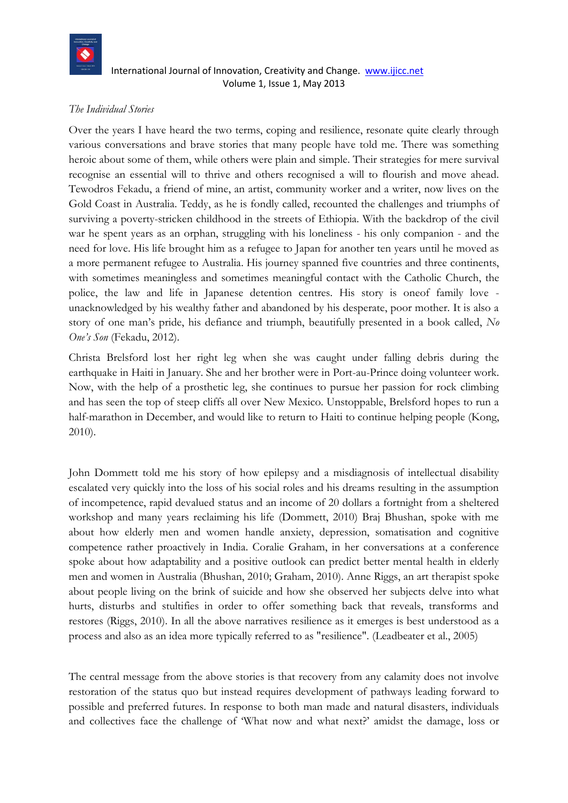

# *The Individual Stories*

Over the years I have heard the two terms, coping and resilience, resonate quite clearly through various conversations and brave stories that many people have told me. There was something heroic about some of them, while others were plain and simple. Their strategies for mere survival recognise an essential will to thrive and others recognised a will to flourish and move ahead. Tewodros Fekadu, a friend of mine, an artist, community worker and a writer, now lives on the Gold Coast in Australia. Teddy, as he is fondly called, recounted the challenges and triumphs of surviving a poverty-stricken childhood in the streets of Ethiopia. With the backdrop of the civil war he spent years as an orphan, struggling with his loneliness - his only companion - and the need for love. His life brought him as a refugee to Japan for another ten years until he moved as a more permanent refugee to Australia. His journey spanned five countries and three continents, with sometimes meaningless and sometimes meaningful contact with the Catholic Church, the police, the law and life in Japanese detention centres. His story is oneof family love unacknowledged by his wealthy father and abandoned by his desperate, poor mother. It is also a story of one man's pride, his defiance and triumph, beautifully presented in a book called, *No One's Son* (Fekadu, 2012).

Christa Brelsford lost her right leg when she was caught under falling debris during the earthquake in Haiti in January. She and her brother were in Port-au-Prince doing volunteer work. Now, with the help of a prosthetic leg, she continues to pursue her passion for rock climbing and has seen the top of steep cliffs all over New Mexico. Unstoppable, Brelsford hopes to run a half-marathon in December, and would like to return to Haiti to continue helping people (Kong, 2010).

John Dommett told me his story of how epilepsy and a misdiagnosis of intellectual disability escalated very quickly into the loss of his social roles and his dreams resulting in the assumption of incompetence, rapid devalued status and an income of 20 dollars a fortnight from a sheltered workshop and many years reclaiming his life (Dommett, 2010) Braj Bhushan, spoke with me about how elderly men and women handle anxiety, depression, somatisation and cognitive competence rather proactively in India. Coralie Graham, in her conversations at a conference spoke about how adaptability and a positive outlook can predict better mental health in elderly men and women in Australia (Bhushan, 2010; Graham, 2010). Anne Riggs, an art therapist spoke about people living on the brink of suicide and how she observed her subjects delve into what hurts, disturbs and stultifies in order to offer something back that reveals, transforms and restores (Riggs, 2010). In all the above narratives resilience as it emerges is best understood as a process and also as an idea more typically referred to as "resilience". (Leadbeater et al., 2005)

The central message from the above stories is that recovery from any calamity does not involve restoration of the status quo but instead requires development of pathways leading forward to possible and preferred futures. In response to both man made and natural disasters, individuals and collectives face the challenge of 'What now and what next?' amidst the damage, loss or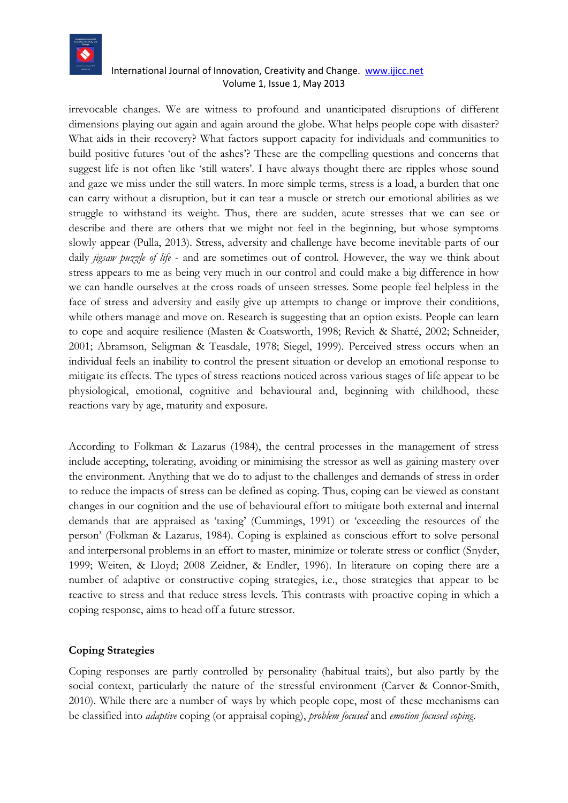

irrevocable changes. We are witness to profound and unanticipated disruptions of different dimensions playing out again and again around the globe. What helps people cope with disaster? What aids in their recovery? What factors support capacity for individuals and communities to build positive futures 'out of the ashes'? These are the compelling questions and concerns that suggest life is not often like 'still waters'. I have always thought there are ripples whose sound and gaze we miss under the still waters. In more simple terms, stress is a load, a burden that one can carry without a disruption, but it can tear a muscle or stretch our emotional abilities as we struggle to withstand its weight. Thus, there are sudden, acute stresses that we can see or describe and there are others that we might not feel in the beginning, but whose symptoms slowly appear (Pulla, 2013). Stress, adversity and challenge have become inevitable parts of our daily *jigsaw puzzle of life* - and are sometimes out of control. However, the way we think about stress appears to me as being very much in our control and could make a big difference in how we can handle ourselves at the cross roads of unseen stresses. Some people feel helpless in the face of stress and adversity and easily give up attempts to change or improve their conditions, while others manage and move on. Research is suggesting that an option exists. People can learn to cope and acquire resilience (Masten & Coatsworth, 1998; Revich & Shatté, 2002; Schneider, 2001; Abramson, Seligman & Teasdale, 1978; Siegel, 1999). Perceived stress occurs when an individual feels an inability to control the present situation or develop an emotional response to mitigate its effects. The types of stress reactions noticed across various stages of life appear to be physiological, emotional, cognitive and behavioural and, beginning with childhood, these reactions vary by age, maturity and exposure.

According to Folkman & Lazarus (1984), the central processes in the management of stress include accepting, tolerating, avoiding or minimising the stressor as well as gaining mastery over the environment. Anything that we do to adjust to the challenges and demands of stress in order to reduce the impacts of stress can be defined as coping. Thus, coping can be viewed as constant changes in our cognition and the use of behavioural effort to mitigate both external and internal demands that are appraised as 'taxing' (Cummings, 1991) or 'exceeding the resources of the person' (Folkman & Lazarus, 1984). Coping is explained as conscious effort to solve personal and interpersonal problems in an effort to master, minimize or tolerate stress or conflict (Snyder, 1999; Weiten, & Lloyd; 2008 Zeidner, & Endler, 1996). In literature on coping there are a number of adaptive or constructive coping strategies, i.e., those strategies that appear to be reactive to stress and that reduce stress levels. This contrasts with proactive coping in which a coping response, aims to head off a future stressor.

# **Coping Strategies**

Coping responses are partly controlled by personality (habitual traits), but also partly by the social context, particularly the nature of the stressful environment (Carver & Connor-Smith, 2010). While there are a number of ways by which people cope, most of these mechanisms can be classified into *adaptive* coping (or appraisal coping), *problem focused* and *emotion focused coping*.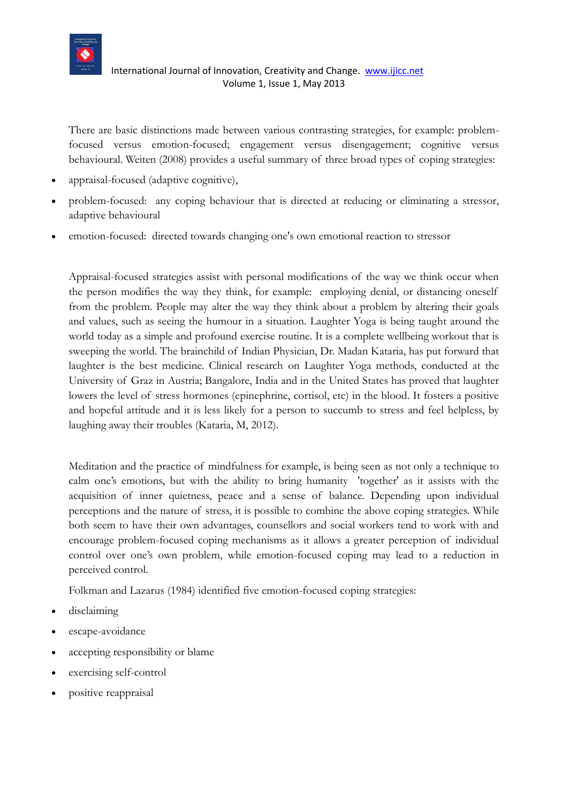

There are basic distinctions made between various contrasting strategies, for example: problemfocused versus emotion-focused; engagement versus disengagement; cognitive versus behavioural. Weiten (2008) provides a useful summary of three broad types of coping strategies:

- appraisal-focused (adaptive cognitive),
- problem-focused: any coping behaviour that is directed at reducing or eliminating a stressor, adaptive behavioural
- emotion-focused: directed towards changing one's own emotional reaction to stressor

Appraisal-focused strategies assist with personal modifications of the way we think occur when the person modifies the way they think, for example: employing denial, or distancing oneself from the problem. People may alter the way they think about a problem by altering their goals and values, such as seeing the humour in a situation. Laughter Yoga is being taught around the world today as a simple and profound exercise routine. It is a complete wellbeing workout that is sweeping the world. The brainchild of Indian Physician, Dr. Madan Kataria, has put forward that laughter is the best medicine. Clinical research on Laughter Yoga methods, conducted at the University of Graz in Austria; Bangalore, India and in the United States has proved that laughter lowers the level of stress hormones (epinephrine, cortisol, etc) in the blood. It fosters a positive and hopeful attitude and it is less likely for a person to succumb to stress and feel helpless, by laughing away their troubles (Kataria, M, 2012).

Meditation and the practice of mindfulness for example, is being seen as not only a technique to calm one's emotions, but with the ability to bring humanity 'together' as it assists with the acquisition of inner quietness, peace and a sense of balance. Depending upon individual perceptions and the nature of stress, it is possible to combine the above coping strategies. While both seem to have their own advantages, counsellors and social workers tend to work with and encourage problem-focused coping mechanisms as it allows a greater perception of individual control over one's own problem, while emotion-focused coping may lead to a reduction in perceived control.

Folkman and Lazarus (1984) identified five emotion-focused coping strategies:

- disclaiming
- escape-avoidance
- accepting responsibility or blame
- exercising self-control
- positive reappraisal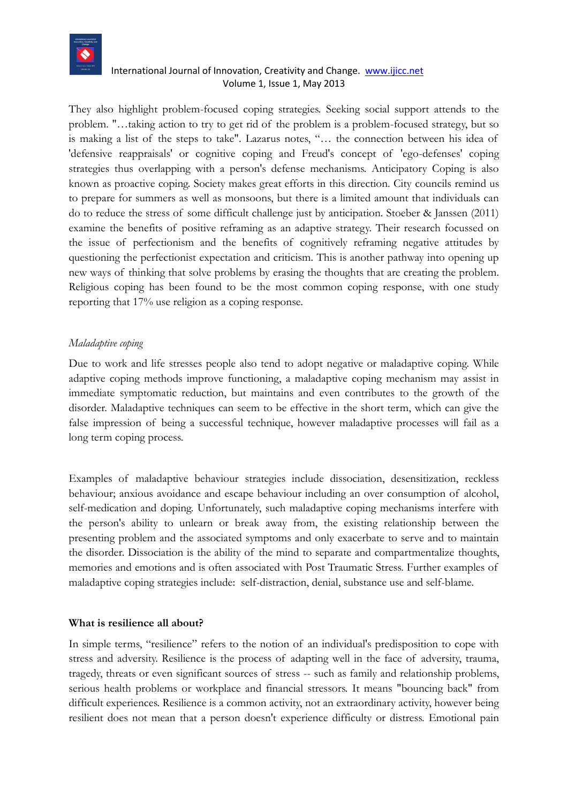

They also highlight problem-focused coping strategies. Seeking social support attends to the problem. "…taking action to try to get rid of the problem is a problem-focused strategy, but so is making a list of the steps to take". Lazarus notes, "… the connection between his idea of 'defensive reappraisals' or cognitive coping and Freud's concept of 'ego-defenses' coping strategies thus overlapping with a person's defense mechanisms. Anticipatory Coping is also known as proactive coping. Society makes great efforts in this direction. City councils remind us to prepare for summers as well as monsoons, but there is a limited amount that individuals can do to reduce the stress of some difficult challenge just by anticipation. Stoeber & Janssen (2011) examine the benefits of positive reframing as an adaptive strategy. Their research focussed on the issue of perfectionism and the benefits of cognitively reframing negative attitudes by questioning the perfectionist expectation and criticism. This is another pathway into opening up new ways of thinking that solve problems by erasing the thoughts that are creating the problem. Religious coping has been found to be the most common coping response, with one study reporting that 17% use religion as a coping response.

#### *Maladaptive coping*

Due to work and life stresses people also tend to adopt negative or maladaptive coping. While adaptive coping methods improve functioning, a maladaptive coping mechanism may assist in immediate symptomatic reduction, but maintains and even contributes to the growth of the disorder. Maladaptive techniques can seem to be effective in the short term, which can give the false impression of being a successful technique, however maladaptive processes will fail as a long term coping process.

Examples of maladaptive behaviour strategies include dissociation, desensitization, reckless behaviour; anxious avoidance and escape behaviour including an over consumption of alcohol, self-medication and doping. Unfortunately, such maladaptive coping mechanisms interfere with the person's ability to unlearn or break away from, the existing relationship between the presenting problem and the associated symptoms and only exacerbate to serve and to maintain the disorder. Dissociation is the ability of the mind to separate and compartmentalize thoughts, memories and emotions and is often associated with Post Traumatic Stress. Further examples of maladaptive coping strategies include: self-distraction, denial, substance use and self-blame.

#### **What is resilience all about?**

In simple terms, "resilience" refers to the notion of an individual's predisposition to cope with stress and adversity. Resilience is the process of adapting well in the face of adversity, trauma, tragedy, threats or even significant sources of stress -- such as family and relationship problems, serious health problems or workplace and financial stressors. It means "bouncing back" from difficult experiences. Resilience is a common activity, not an extraordinary activity, however being resilient does not mean that a person doesn't experience difficulty or distress. Emotional pain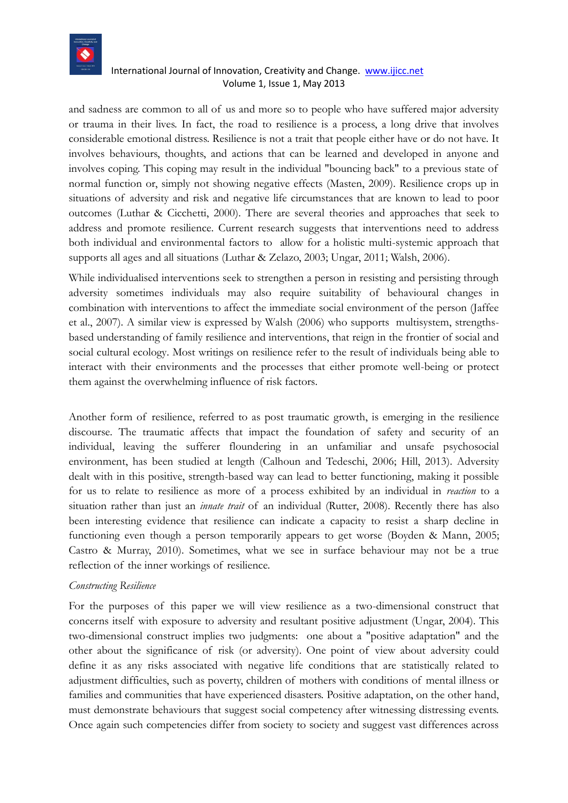

and sadness are common to all of us and more so to people who have suffered major adversity or trauma in their lives. In fact, the road to resilience is a process, a long drive that involves considerable emotional distress. Resilience is not a trait that people either have or do not have. It involves behaviours, thoughts, and actions that can be learned and developed in anyone and involves coping. This coping may result in the individual "bouncing back" to a previous state of normal function or, simply not showing negative effects (Masten, 2009). Resilience crops up in situations of adversity and risk and negative life circumstances that are known to lead to poor outcomes (Luthar & Cicchetti, 2000). There are several theories and approaches that seek to address and promote resilience. Current research suggests that interventions need to address both individual and environmental factors to allow for a holistic multi-systemic approach that supports all ages and all situations (Luthar & Zelazo, 2003; Ungar, 2011; Walsh, 2006).

While individualised interventions seek to strengthen a person in resisting and persisting through adversity sometimes individuals may also require suitability of behavioural changes in combination with interventions to affect the immediate social environment of the person (Jaffee et al., 2007). A similar view is expressed by Walsh [\(2006\)](#page-17-0) who supports multisystem, strengthsbased understanding of family resilience and interventions, that reign in the frontier of social and social cultural ecology. Most writings on resilience refer to the result of individuals being able to interact with their environments and the processes that either promote well-being or protect them against the overwhelming influence of risk factors.

Another form of resilience, referred to as post traumatic growth, is emerging in the resilience discourse. The traumatic affects that impact the foundation of safety and security of an individual, leaving the sufferer floundering in an unfamiliar and unsafe psychosocial environment, has been studied at length (Calhoun and Tedeschi, 2006; Hill, 2013). Adversity dealt with in this positive, strength-based way can lead to better functioning, making it possible for us to relate to resilience as more of a process exhibited by an individual in *reaction* to a situation rather than just an *innate trait* of an individual (Rutter, 2008). Recently there has also been interesting evidence that resilience can indicate a capacity to resist a sharp decline in functioning even though a person temporarily appears to get worse (Boyden & Mann, 2005; Castro & Murray, 2010). Sometimes, what we see in surface behaviour may not be a true reflection of the inner workings of resilience.

#### *Constructing Resilience*

For the purposes of this paper we will view resilience as a two-dimensional construct that concerns itself with exposure to adversity and resultant positive adjustment (Ungar, 2004). This two-dimensional construct implies two judgments: one about a "positive adaptation" and the other about the significance of risk (or adversity). One point of view about adversity could define it as any risks associated with negative life conditions that are statistically related to adjustment difficulties, such as poverty, children of mothers with conditions of mental illness or families and communities that have experienced disasters. Positive adaptation, on the other hand, must demonstrate behaviours that suggest social competency after witnessing distressing events. Once again such competencies differ from society to society and suggest vast differences across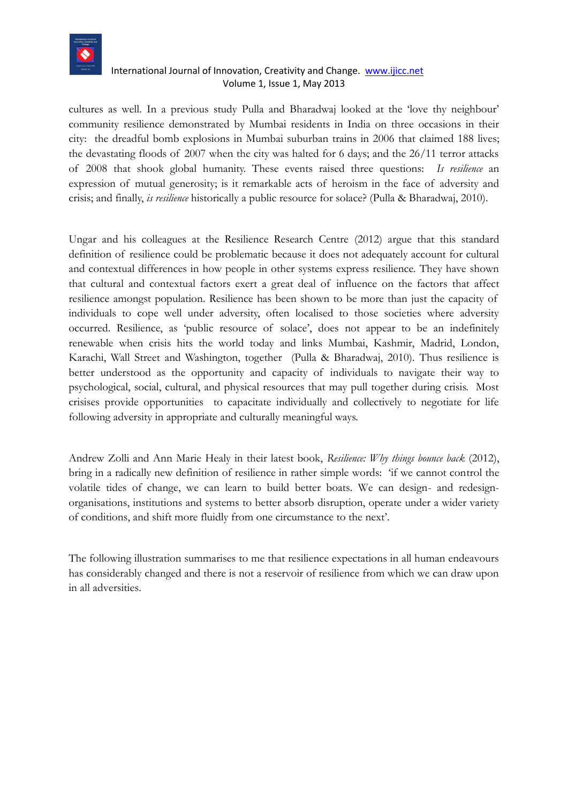

cultures as well. In a previous study Pulla and Bharadwaj looked at the 'love thy neighbour' community resilience demonstrated by Mumbai residents in India on three occasions in their city: the dreadful bomb explosions in Mumbai suburban trains in 2006 that claimed 188 lives; the devastating floods of 2007 when the city was halted for 6 days; and the 26/11 terror attacks of 2008 that shook global humanity. These events raised three questions: *Is resilience* an expression of mutual generosity; is it remarkable acts of heroism in the face of adversity and crisis; and finally, *is resilience* historically a public resource for solace? (Pulla & Bharadwaj, 2010).

Ungar and his colleagues at the Resilience Research Centre (2012) argue that this standard definition of resilience could be problematic because it does not adequately account for cultural and contextual differences in how people in other systems express resilience. They have shown that cultural and contextual factors exert a great deal of influence on the factors that affect resilience amongst population. Resilience has been shown to be more than just the capacity of individuals to cope well under adversity, often localised to those societies where adversity occurred. Resilience, as 'public resource of solace', does not appear to be an indefinitely renewable when crisis hits the world today and links Mumbai, Kashmir, Madrid, London, Karachi, Wall Street and Washington, together (Pulla & Bharadwaj, 2010). Thus resilience is better understood as the opportunity and capacity of individuals to navigate their way to psychological, social, cultural, and physical resources that may pull together during crisis. Most crisises provide opportunities to capacitate individually and collectively to negotiate for life following adversity in appropriate and culturally meaningful ways.

Andrew Zolli and Ann Marie Healy in their latest book, *Resilience: Why things bounce back* (2012), bring in a radically new definition of resilience in rather simple words: 'if we cannot control the volatile tides of change, we can learn to build better boats. We can design- and redesignorganisations, institutions and systems to better absorb disruption, operate under a wider variety of conditions, and shift more fluidly from one circumstance to the next'.

The following illustration summarises to me that resilience expectations in all human endeavours has considerably changed and there is not a reservoir of resilience from which we can draw upon in all adversities.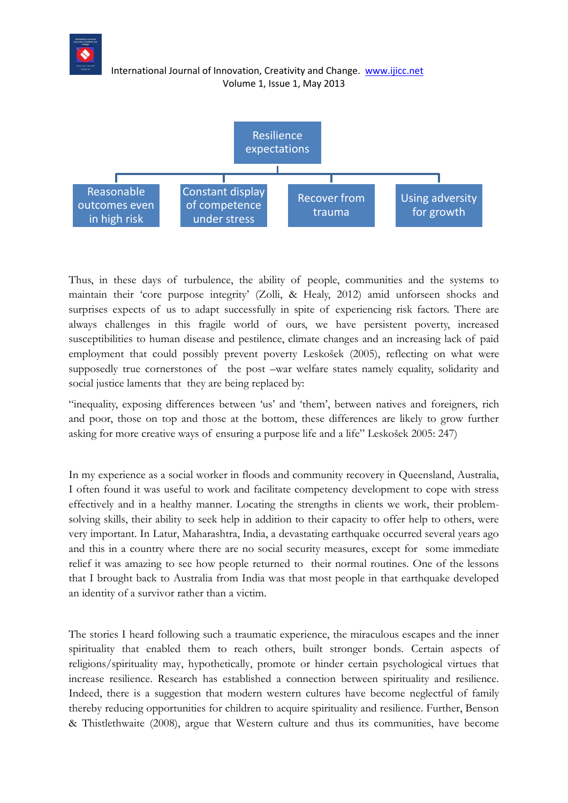

Thus, in these days of turbulence, the ability of people, communities and the systems to maintain their 'core purpose integrity' (Zolli, & Healy, 2012) amid unforseen shocks and surprises expects of us to adapt successfully in spite of experiencing risk factors. There are always challenges in this fragile world of ours, we have persistent poverty, increased susceptibilities to human disease and pestilence, climate changes and an increasing lack of paid employment that could possibly prevent poverty Leskošek (2005), reflecting on what were supposedly true cornerstones of the post –war welfare states namely equality, solidarity and social justice laments that they are being replaced by:

"inequality, exposing differences between 'us' and 'them', between natives and foreigners, rich and poor, those on top and those at the bottom, these differences are likely to grow further asking for more creative ways of ensuring a purpose life and a life" Leskošek 2005: 247)

In my experience as a social worker in floods and community recovery in Queensland, Australia, I often found it was useful to work and facilitate competency development to cope with stress effectively and in a healthy manner. Locating the strengths in clients we work, their problemsolving skills, their ability to seek help in addition to their capacity to offer help to others, were very important. In Latur, Maharashtra, India, a devastating earthquake occurred several years ago and this in a country where there are no social security measures, except for some immediate relief it was amazing to see how people returned to their normal routines. One of the lessons that I brought back to Australia from India was that most people in that earthquake developed an identity of a survivor rather than a victim.

The stories I heard following such a traumatic experience, the miraculous escapes and the inner spirituality that enabled them to reach others, built stronger bonds. Certain aspects of religions/spirituality may, hypothetically, promote or hinder certain psychological virtues that increase resilience. Research has established a connection between spirituality and resilience. Indeed, there is a suggestion that modern western cultures have become neglectful of family thereby reducing opportunities for children to acquire spirituality and resilience. Further, Benson & Thistlethwaite (2008), argue that Western culture and thus its communities, have become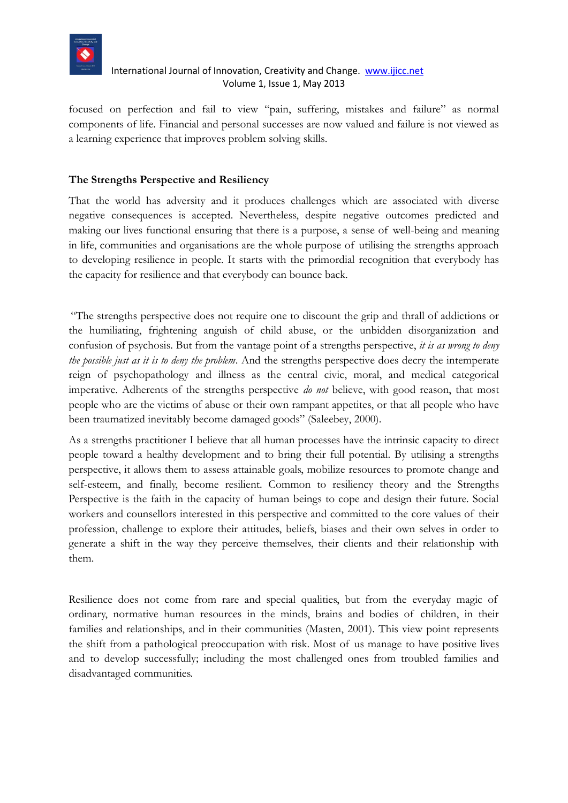

focused on perfection and fail to view "pain, suffering, mistakes and failure" as normal components of life. Financial and personal successes are now valued and failure is not viewed as a learning experience that improves problem solving skills.

# **The Strengths Perspective and Resiliency**

That the world has adversity and it produces challenges which are associated with diverse negative consequences is accepted. Nevertheless, despite negative outcomes predicted and making our lives functional ensuring that there is a purpose, a sense of well-being and meaning in life, communities and organisations are the whole purpose of utilising the strengths approach to developing resilience in people. It starts with the primordial recognition that everybody has the capacity for resilience and that everybody can bounce back.

"The strengths perspective does not require one to discount the grip and thrall of addictions or the humiliating, frightening anguish of child abuse, or the unbidden disorganization and confusion of psychosis. But from the vantage point of a strengths perspective, *it is as wrong to deny the possible just as it is to deny the problem*. And the strengths perspective does decry the intemperate reign of psychopathology and illness as the central civic, moral, and medical categorical imperative. Adherents of the strengths perspective *do not* believe, with good reason, that most people who are the victims of abuse or their own rampant appetites, or that all people who have been traumatized inevitably become damaged goods" (Saleebey, 2000).

As a strengths practitioner I believe that all human processes have the intrinsic capacity to direct people toward a healthy development and to bring their full potential. By utilising a strengths perspective, it allows them to assess attainable goals, mobilize resources to promote change and self-esteem, and finally, become resilient. Common to resiliency theory and the Strengths Perspective is the faith in the capacity of human beings to cope and design their future. Social workers and counsellors interested in this perspective and committed to the core values of their profession, challenge to explore their attitudes, beliefs, biases and their own selves in order to generate a shift in the way they perceive themselves, their clients and their relationship with them.

Resilience does not come from rare and special qualities, but from the everyday magic of ordinary, normative human resources in the minds, brains and bodies of children, in their families and relationships, and in their communities (Masten, 2001). This view point represents the shift from a pathological preoccupation with risk. Most of us manage to have positive lives and to develop successfully; including the most challenged ones from troubled families and disadvantaged communities.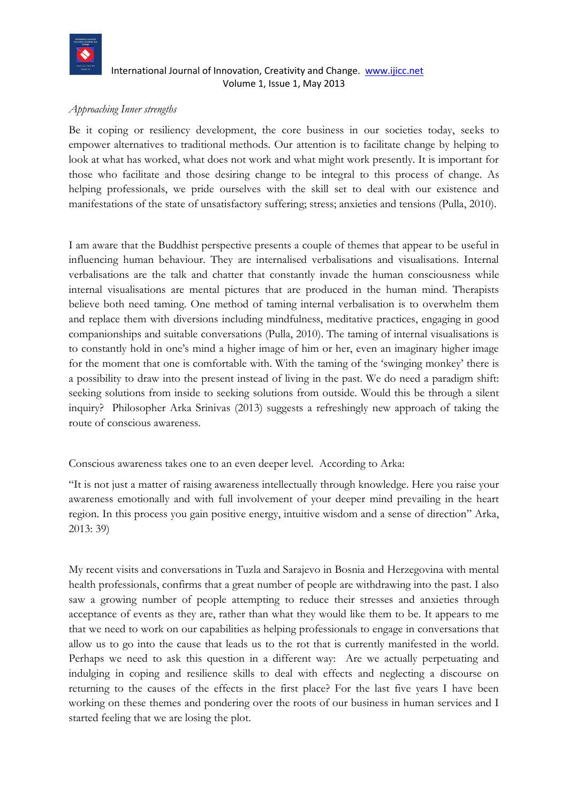

#### *Approaching Inner strengths*

Be it coping or resiliency development, the core business in our societies today, seeks to empower alternatives to traditional methods. Our attention is to facilitate change by helping to look at what has worked, what does not work and what might work presently. It is important for those who facilitate and those desiring change to be integral to this process of change. As helping professionals, we pride ourselves with the skill set to deal with our existence and manifestations of the state of unsatisfactory suffering; stress; anxieties and tensions (Pulla, 2010).

I am aware that the Buddhist perspective presents a couple of themes that appear to be useful in influencing human behaviour. They are internalised verbalisations and visualisations. Internal verbalisations are the talk and chatter that constantly invade the human consciousness while internal visualisations are mental pictures that are produced in the human mind. Therapists believe both need taming. One method of taming internal verbalisation is to overwhelm them and replace them with diversions including mindfulness, meditative practices, engaging in good companionships and suitable conversations (Pulla, 2010). The taming of internal visualisations is to constantly hold in one's mind a higher image of him or her, even an imaginary higher image for the moment that one is comfortable with. With the taming of the 'swinging monkey' there is a possibility to draw into the present instead of living in the past. We do need a paradigm shift: seeking solutions from inside to seeking solutions from outside. Would this be through a silent inquiry? Philosopher Arka Srinivas (2013) suggests a refreshingly new approach of taking the route of conscious awareness.

Conscious awareness takes one to an even deeper level. According to Arka:

"It is not just a matter of raising awareness intellectually through knowledge. Here you raise your awareness emotionally and with full involvement of your deeper mind prevailing in the heart region. In this process you gain positive energy, intuitive wisdom and a sense of direction" Arka, 2013: 39)

My recent visits and conversations in Tuzla and Sarajevo in Bosnia and Herzegovina with mental health professionals, confirms that a great number of people are withdrawing into the past. I also saw a growing number of people attempting to reduce their stresses and anxieties through acceptance of events as they are, rather than what they would like them to be. It appears to me that we need to work on our capabilities as helping professionals to engage in conversations that allow us to go into the cause that leads us to the rot that is currently manifested in the world. Perhaps we need to ask this question in a different way: Are we actually perpetuating and indulging in coping and resilience skills to deal with effects and neglecting a discourse on returning to the causes of the effects in the first place? For the last five years I have been working on these themes and pondering over the roots of our business in human services and I started feeling that we are losing the plot.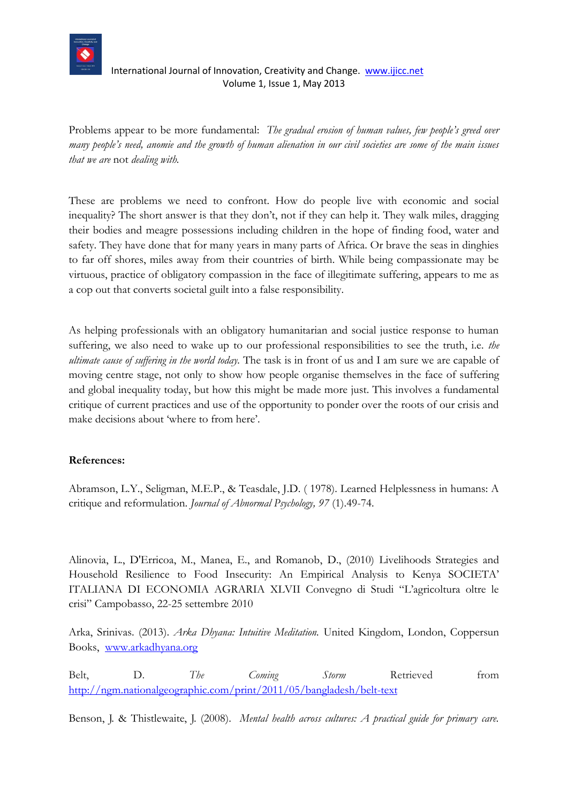

Problems appear to be more fundamental: *The gradual erosion of human values, few people's greed over many people's need, anomie and the growth of human alienation in our civil societies are some of the main issues that we are* not *dealing with.*

These are problems we need to confront. How do people live with economic and social inequality? The short answer is that they don't, not if they can help it. They walk miles, dragging their bodies and meagre possessions including children in the hope of finding food, water and safety. They have done that for many years in many parts of Africa. Or brave the seas in dinghies to far off shores, miles away from their countries of birth. While being compassionate may be virtuous, practice of obligatory compassion in the face of illegitimate suffering, appears to me as a cop out that converts societal guilt into a false responsibility.

As helping professionals with an obligatory humanitarian and social justice response to human suffering, we also need to wake up to our professional responsibilities to see the truth, i.e. *the ultimate cause of suffering in the world today.* The task is in front of us and I am sure we are capable of moving centre stage, not only to show how people organise themselves in the face of suffering and global inequality today, but how this might be made more just. This involves a fundamental critique of current practices and use of the opportunity to ponder over the roots of our crisis and make decisions about 'where to from here'.

# **References:**

Abramson, L.Y., Seligman, M.E.P., & Teasdale, J.D. ( 1978). Learned Helplessness in humans: A critique and reformulation. *Journal of Abnormal Psychology, 97* (1).49-74.

Alinovia, L., D'Erricoa, M., Manea, E., and Romanob, D., (2010) Livelihoods Strategies and Household Resilience to Food Insecurity: An Empirical Analysis to Kenya SOCIETA' ITALIANA DI ECONOMIA AGRARIA XLVII Convegno di Studi "L'agricoltura oltre le crisi" Campobasso, 22-25 settembre 2010

Arka, Srinivas. (2013). *Arka Dhyana: Intuitive Meditation.* United Kingdom, London, Coppersun Books, [www.arkadhyana.org](http://www.arkadhyana.org/)

Belt, D. *The Coming Storm* Retrieved from <http://ngm.nationalgeographic.com/print/2011/05/bangladesh/belt-text>

Benson, J. & Thistlewaite, J. (2008). *Mental health across cultures: A practical guide for primary care.*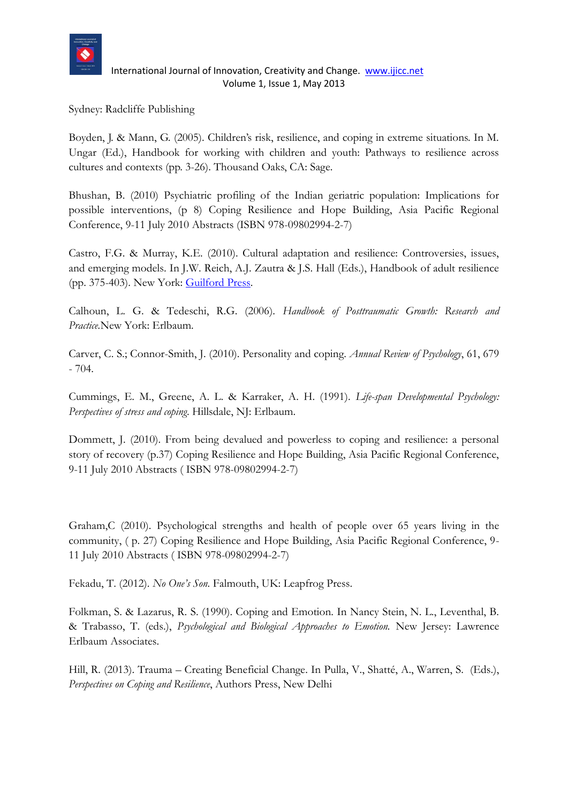

Sydney: Radcliffe Publishing

Boyden, J. & Mann, G. (2005). Children's risk, resilience, and coping in extreme situations. In M. Ungar (Ed.), Handbook for working with children and youth: Pathways to resilience across cultures and contexts (pp. 3-26). Thousand Oaks, CA: Sage.

Bhushan, B. (2010) Psychiatric profiling of the Indian geriatric population: Implications for possible interventions, (p 8) Coping Resilience and Hope Building, Asia Pacific Regional Conference, 9-11 July 2010 Abstracts (ISBN 978-09802994-2-7)

Castro, F.G. & Murray, K.E. (2010). Cultural adaptation and resilience: Controversies, issues, and emerging models. In J.W. Reich, A.J. Zautra & J.S. Hall (Eds.), Handbook of adult resilience (pp. 375-403). New York: [Guilford Press.](http://en.wikipedia.org/wiki/Guilford_Press)

Calhoun, L. G. & Tedeschi, R.G. (2006). *Handbook of Posttraumatic Growth: Research and Practice.*New York: Erlbaum.

Carver, C. S.; Connor-Smith, J. (2010). Personality and coping. *Annual Review of Psychology*, 61, 679 - 704.

Cummings, E. M., Greene, A. L. & Karraker, A. H. (1991). *Life-span Developmental Psychology: Perspectives of stress and coping*. Hillsdale, NJ: Erlbaum.

Dommett, J. (2010). From being devalued and powerless to coping and resilience: a personal story of recovery (p.37) Coping Resilience and Hope Building, Asia Pacific Regional Conference, 9-11 July 2010 Abstracts ( ISBN 978-09802994-2-7)

Graham,C (2010). Psychological strengths and health of people over 65 years living in the community, ( p. 27) Coping Resilience and Hope Building, Asia Pacific Regional Conference, 9- 11 July 2010 Abstracts ( ISBN 978-09802994-2-7)

Fekadu, T. (2012). *No One's Son.* Falmouth, UK: Leapfrog Press.

Folkman, S. & Lazarus, R. S. (1990). Coping and Emotion. In Nancy Stein, N. L., Leventhal, B. & Trabasso, T. (eds.), *Psychological and Biological Approaches to Emotion.* New Jersey: Lawrence Erlbaum Associates.

Hill, R. (2013). Trauma – Creating Beneficial Change. In Pulla, V., Shatté, A., Warren, S. (Eds.), *Perspectives on Coping and Resilience*, Authors Press, New Delhi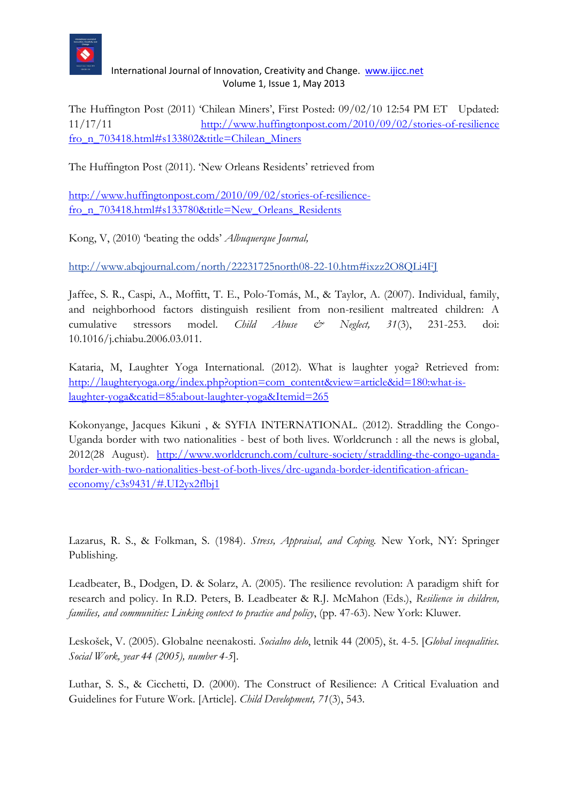

The Huffington Post (2011) 'Chilean Miners', First Posted: 09/02/10 12:54 PM ET Updated: 11/17/11 [http://www.huffingtonpost.com/2010/09/02/stories-of-resilience](http://www.huffingtonpost.com/2010/09/02/stories-of-resilience%20fro_n_703418.html#s133802&title=Chilean_Miners)  [fro\\_n\\_703418.html#s133802&title=Chilean\\_Miners](http://www.huffingtonpost.com/2010/09/02/stories-of-resilience%20fro_n_703418.html#s133802&title=Chilean_Miners)

The Huffington Post (2011). 'New Orleans Residents' retrieved from

[http://www.huffingtonpost.com/2010/09/02/stories-of-resilience](http://www.huffingtonpost.com/2010/09/02/stories-of-resilience-fro_n_703418.html#s133780&title=New_Orleans_Residents)[fro\\_n\\_703418.html#s133780&title=New\\_Orleans\\_Residents](http://www.huffingtonpost.com/2010/09/02/stories-of-resilience-fro_n_703418.html#s133780&title=New_Orleans_Residents)

Kong, V, (2010) 'beating the odds' *Albuquerque Journal,*

<http://www.abqjournal.com/north/22231725north08-22-10.htm#ixzz2O8QLi4FJ>

Jaffee, S. R., Caspi, A., Moffitt, T. E., Polo-Tomás, M., & Taylor, A. (2007). Individual, family, and neighborhood factors distinguish resilient from non-resilient maltreated children: A cumulative stressors model. *Child Abuse & Neglect, 31*(3), 231-253. doi: 10.1016/j.chiabu.2006.03.011.

Kataria, M, Laughter Yoga International. (2012). What is laughter yoga? Retrieved from: [http://laughteryoga.org/index.php?option=com\\_content&view=article&id=180:what-is](http://laughteryoga.org/index.php?option=com_content&view=article&id=180:what-is-laughter-yoga&catid=85:about-laughter-yoga&Itemid=265)[laughter-yoga&catid=85:about-laughter-yoga&Itemid=265](http://laughteryoga.org/index.php?option=com_content&view=article&id=180:what-is-laughter-yoga&catid=85:about-laughter-yoga&Itemid=265)

Kokonyange, Jacques Kikuni , & SYFIA INTERNATIONAL. (2012). Straddling the Congo-Uganda border with two nationalities - best of both lives. Worldcrunch : all the news is global, 2012(28 August). [http://www.worldcrunch.com/culture-society/straddling-the-congo-uganda](http://www.worldcrunch.com/culture-society/straddling-the-congo-uganda-border-with-two-nationalities-best-of-both-lives/drc-uganda-border-identification-african-economy/c3s9431/#.UI2yx2flbj1)[border-with-two-nationalities-best-of-both-lives/drc-uganda-border-identification-african](http://www.worldcrunch.com/culture-society/straddling-the-congo-uganda-border-with-two-nationalities-best-of-both-lives/drc-uganda-border-identification-african-economy/c3s9431/#.UI2yx2flbj1)[economy/c3s9431/#.UI2yx2flbj1](http://www.worldcrunch.com/culture-society/straddling-the-congo-uganda-border-with-two-nationalities-best-of-both-lives/drc-uganda-border-identification-african-economy/c3s9431/#.UI2yx2flbj1)

Lazarus, R. S., & Folkman, S. (1984). *Stress, Appraisal, and Coping.* New York, NY: Springer Publishing.

Leadbeater, B., Dodgen, D. & Solarz, A. (2005). The resilience revolution: A paradigm shift for research and policy. In R.D. Peters, B. Leadbeater & R.J. McMahon (Eds.), *Resilience in children, families, and communities: Linking context to practice and policy*, (pp. 47-63). New York: Kluwer.

Leskošek, V. (2005). Globalne neenakosti. *Socialno delo*, letnik 44 (2005), št. 4-5. [*Global inequalities. Social Work, year 44 (2005), number 4-5*].

Luthar, S. S., & Cicchetti, D. (2000). The Construct of Resilience: A Critical Evaluation and Guidelines for Future Work. [Article]. *Child Development, 71*(3), 543.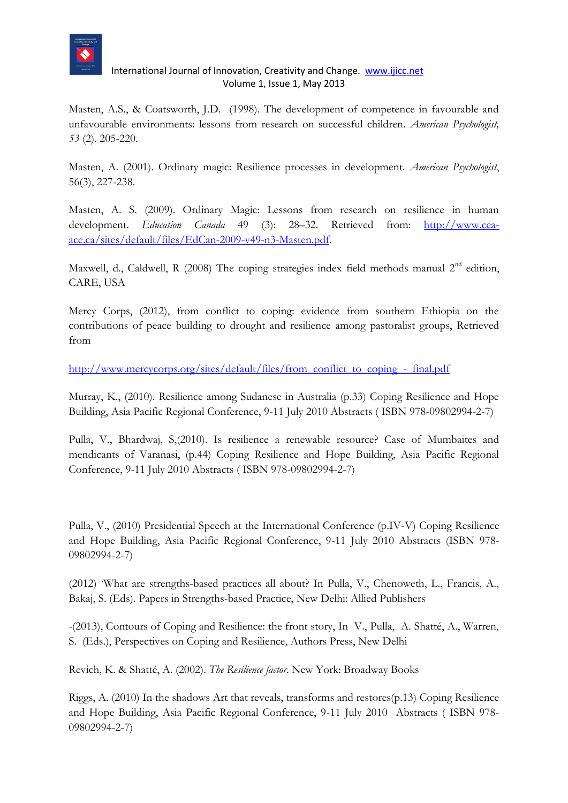

Masten, A.S., & Coatsworth, J.D. (1998). The development of competence in favourable and unfavourable environments: lessons from research on successful children. *American Psychologist, 53* (2). 205-220.

Masten, A. (2001). Ordinary magic: Resilience processes in development. *American Psychologist*, 56(3), 227-238.

Masten, A. S. (2009). Ordinary Magic: Lessons from research on resilience in human development. *Education Canada* 49 (3): 28–32. Retrieved from: [http://www.cea](http://www.cea-ace.ca/sites/default/files/EdCan-2009-v49-n3-Masten.pdf)[ace.ca/sites/default/files/EdCan-2009-v49-n3-Masten.pdf.](http://www.cea-ace.ca/sites/default/files/EdCan-2009-v49-n3-Masten.pdf)

Maxwell, d., Caldwell, R (2008) The coping strategies index field methods manual  $2<sup>nd</sup>$  edition, CARE, USA

Mercy Corps, (2012), from conflict to coping: evidence from southern Ethiopia on the contributions of peace building to drought and resilience among pastoralist groups, Retrieved from

[http://www.mercycorps.org/sites/default/files/from\\_conflict\\_to\\_coping\\_-\\_final.pdf](http://www.mercycorps.org/sites/default/files/from_conflict_to_coping_-_final.pdf)

Murray, K., (2010). Resilience among Sudanese in Australia (p.33) Coping Resilience and Hope Building, Asia Pacific Regional Conference, 9-11 July 2010 Abstracts ( ISBN 978-09802994-2-7)

Pulla, V., Bhardwaj, S,(2010). Is resilience a renewable resource? Case of Mumbaites and mendicants of Varanasi, (p.44) Coping Resilience and Hope Building, Asia Pacific Regional Conference, 9-11 July 2010 Abstracts ( ISBN 978-09802994-2-7)

Pulla, V., (2010) Presidential Speech at the International Conference (p.IV-V) Coping Resilience and Hope Building, Asia Pacific Regional Conference, 9-11 July 2010 Abstracts (ISBN 978- 09802994-2-7)

(2012) 'What are strengths-based practices all about? In Pulla, V., Chenoweth, L., Francis, A., Bakaj, S. (Eds). Papers in Strengths-based Practice, New Delhi: Allied Publishers

-(2013), Contours of Coping and Resilience: the front story, In V., Pulla, A. Shatté, A., Warren, S. (Eds.), Perspectives on Coping and Resilience, Authors Press, New Delhi

Revich, K. & Shatté, A. (2002). *The Resilience factor*. New York: Broadway Books

Riggs, A. (2010) In the shadows Art that reveals, transforms and restores(p.13) Coping Resilience and Hope Building, Asia Pacific Regional Conference, 9-11 July 2010 Abstracts ( ISBN 978- 09802994-2-7)